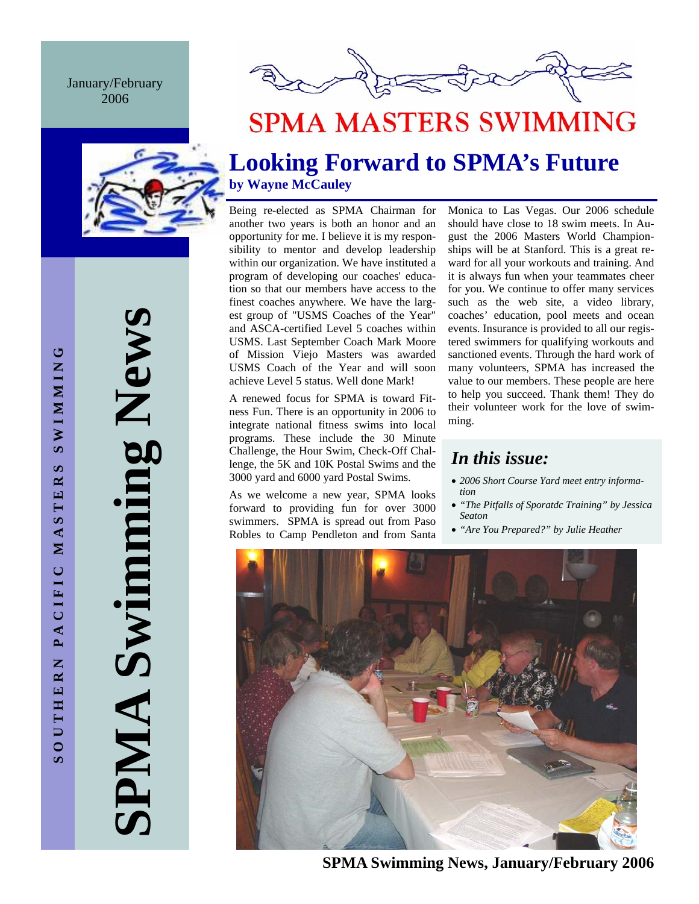January/February 2006





# **SPMA MASTERS SWIMMING**

## **Looking Forward to SPMA's Future by Wayne McCauley**

Being re-elected as SPMA Chairman for another two years is both an honor and an opportunity for me. I believe it is my responsibility to mentor and develop leadership within our organization. We have instituted a program of developing our coaches' education so that our members have access to the finest coaches anywhere. We have the largest group of "USMS Coaches of the Year" and ASCA-certified Level 5 coaches within USMS. Last September Coach Mark Moore of Mission Viejo Masters was awarded USMS Coach of the Year and will soon achieve Level 5 status. Well done Mark!

A renewed focus for SPMA is toward Fitness Fun. There is an opportunity in 2006 to integrate national fitness swims into local programs. These include the 30 Minute Challenge, the Hour Swim, Check-Off Challenge, the 5K and 10K Postal Swims and the 3000 yard and 6000 yard Postal Swims.

As we welcome a new year, SPMA looks forward to providing fun for over 3000 swimmers. SPMA is spread out from Paso Robles to Camp Pendleton and from Santa Monica to Las Vegas. Our 2006 schedule should have close to 18 swim meets. In August the 2006 Masters World Championships will be at Stanford. This is a great reward for all your workouts and training. And it is always fun when your teammates cheer for you. We continue to offer many services such as the web site, a video library, coaches' education, pool meets and ocean events. Insurance is provided to all our registered swimmers for qualifying workouts and sanctioned events. Through the hard work of many volunteers, SPMA has increased the value to our members. These people are here to help you succeed. Thank them! They do their volunteer work for the love of swimming.

## *In this issue:*

- *2006 Short Course Yard meet entry information*
- *"The Pitfalls of Sporatdc Training" by Jessica Seaton*
- *"Are You Prepared?" by Julie Heather*



**SPMA Swimming News, January/February 2006** 

**SPMA Swimming News SPMA Swimming News**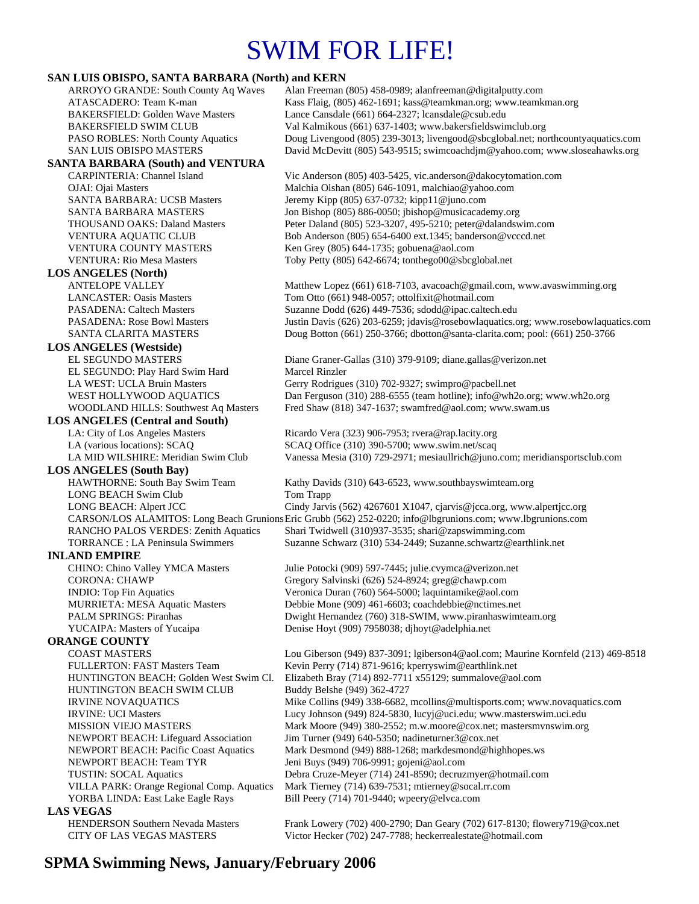# SWIM FOR LIFE!

## **SAN LUIS OBISPO, SANTA BARBARA (North) and KERN**<br>ARROYO GRANDE: South County Aq Waves Alan Freeman

Alan Freeman (805) 458-0989; alanfreeman@digitalputty.com ATASCADERO: Team K-man Kass Flaig, (805) 462-1691; kass@teamkman.org; www.teamkman.org BAKERSFIELD: Golden Wave Masters Lance Cansdale (661) 664-2327; lcansdale@csub.edu BAKERSFIELD SWIM CLUB Val Kalmikous (661) 637-1403; www.bakersfieldswimclub.org PASO ROBLES: North County Aquatics Doug Livengood (805) 239-3013; livengood@sbcglobal.net; northcountyaquatics.com SAN LUIS OBISPO MASTERS David McDevitt (805) 543-9515; swimcoachdjm@yahoo.com; www.sloseahawks.org **SANTA BARBARA (South) and VENTURA**  CARPINTERIA: Channel Island Vic Anderson (805) 403-5425, vic.anderson@dakocytomation.com OJAI: Ojai Masters Malchia Olshan (805) 646-1091, malchiao@yahoo.com SANTA BARBARA: UCSB Masters Jeremy Kipp (805) 637-0732; kipp11@juno.com SANTA BARBARA MASTERS Jon Bishop (805) 886-0050; jbishop@musicacademy.org THOUSAND OAKS: Daland Masters Peter Daland (805) 523-3207, 495-5210; peter@dalandswim.com VENTURA AQUATIC CLUB Bob Anderson (805) 654-6400 ext.1345; banderson@vcccd.net VENTURA COUNTY MASTERS Ken Grey (805) 644-1735; gobuena@aol.com VENTURA: Rio Mesa Masters Toby Petty (805) 642-6674; tonthego00@sbcglobal.net **LOS ANGELES (North)**  ANTELOPE VALLEY Matthew Lopez (661) 618-7103, avacoach@gmail.com, www.avaswimming.org LANCASTER: Oasis Masters Tom Otto (661) 948-0057; ottolfixit@hotmail.com PASADENA: Caltech Masters Suzanne Dodd (626) 449-7536; sdodd@ipac.caltech.edu PASADENA: Rose Bowl Masters Justin Davis (626) 203-6259; jdavis@rosebowlaquatics.org; www.rosebowlaquatics.com SANTA CLARITA MASTERS Doug Botton (661) 250-3766; dbotton@santa-clarita.com; pool: (661) 250-3766 **LOS ANGELES (Westside)** EL SEGUNDO MASTERS Diane Graner-Gallas (310) 379-9109; diane.gallas@verizon.net EL SEGUNDO: Play Hard Swim Hard Marcel Rinzler LA WEST: UCLA Bruin Masters Gerry Rodrigues (310) 702-9327; swimpro@pacbell.net WEST HOLLYWOOD AQUATICS Dan Ferguson (310) 288-6555 (team hotline); info@wh2o.org; www.wh2o.org WOODLAND HILLS: Southwest Aq Masters Fred Shaw (818) 347-1637; swamfred@aol.com; www.swam.us **LOS ANGELES (Central and South)**  LA: City of Los Angeles Masters Ricardo Vera (323) 906-7953; rvera@rap.lacity.org LA (various locations): SCAQ SCAQ Office (310) 390-5700; www.swim.net/scaq LA MID WILSHIRE: Meridian Swim Club Vanessa Mesia (310) 729-2971; mesiaullrich@juno.com; meridiansportsclub.com **LOS ANGELES (South Bay)**  HAWTHORNE: South Bay Swim Team Kathy Davids (310) 643-6523, www.southbayswimteam.org LONG BEACH Swim Club Tom Trapp LONG BEACH: Alpert JCC Cindy Jarvis (562) 4267601 X1047, cjarvis@jcca.org, www.alpertjcc.org CARSON/LOS ALAMITOS: Long Beach Grunions Eric Grubb (562) 252-0220; info@lbgrunions.com; www.lbgrunions.com RANCHO PALOS VERDES: Zenith Aquatics Shari Twidwell (310)937-3535; shari@zapswimming.com TORRANCE : LA Peninsula Swimmers Suzanne Schwarz (310) 534-2449; Suzanne.schwartz@earthlink.net **INLAND EMPIRE**  CHINO: Chino Valley YMCA Masters Julie Potocki (909) 597-7445; julie.cvymca@verizon.net CORONA: CHAWP Gregory Salvinski (626) 524-8924; greg@chawp.com INDIO: Top Fin Aquatics Veronica Duran (760) 564-5000; laquintamike@aol.com MURRIETA: MESA Aquatic Masters Debbie Mone (909) 461-6603; coachdebbie@nctimes.net PALM SPRINGS: Piranhas Dwight Hernandez (760) 318-SWIM, www.piranhaswimteam.org YUCAIPA: Masters of Yucaipa Denise Hoyt (909) 7958038; djhoyt@adelphia.net **ORANGE COUNTY**  COAST MASTERS Lou Giberson (949) 837-3091; lgiberson4@aol.com; Maurine Kornfeld (213) 469-8518 FULLERTON: FAST Masters Team Kevin Perry (714) 871-9616; kperryswim@earthlink.net HUNTINGTON BEACH: Golden West Swim Cl. Elizabeth Bray (714) 892-7711 x55129; summalove@aol.com HUNTINGTON BEACH SWIM CLUB Buddy Belshe (949) 362-4727 IRVINE NOVAQUATICS Mike Collins (949) 338-6682, mcollins@multisports.com; www.novaquatics.com IRVINE: UCI Masters Lucy Johnson (949) 824-5830, lucyj@uci.edu; www.masterswim.uci.edu MISSION VIEJO MASTERS Mark Moore (949) 380-2552; m.w.moore @cox.net; mastersmvnswim.org NEWPORT BEACH: Lifeguard Association Jim Turner (949) 640-5350; nadineturner3@cox.net NEWPORT BEACH: Pacific Coast Aquatics Mark Desmond (949) 888-1268; markdesmond@highhopes.ws NEWPORT BEACH: Team TYR Jeni Buys (949) 706-9991; gojeni@aol.com TUSTIN: SOCAL Aquatics Debra Cruze-Meyer (714) 241-8590; decruzmyer@hotmail.com VILLA PARK: Orange Regional Comp. Aquatics Mark Tierney (714) 639-7531; mtierney@socal.rr.com YORBA LINDA: East Lake Eagle Rays Bill Peery (714) 701-9440; wpeery@elvca.com **LAS VEGAS**<br> **HENDERSON Southern Nevada Masters** 

Frank Lowery (702) 400-2790; Dan Geary (702) 617-8130; flowery 719@cox.net CITY OF LAS VEGAS MASTERS Victor Hecker (702) 247-7788; heckerrealestate@hotmail.com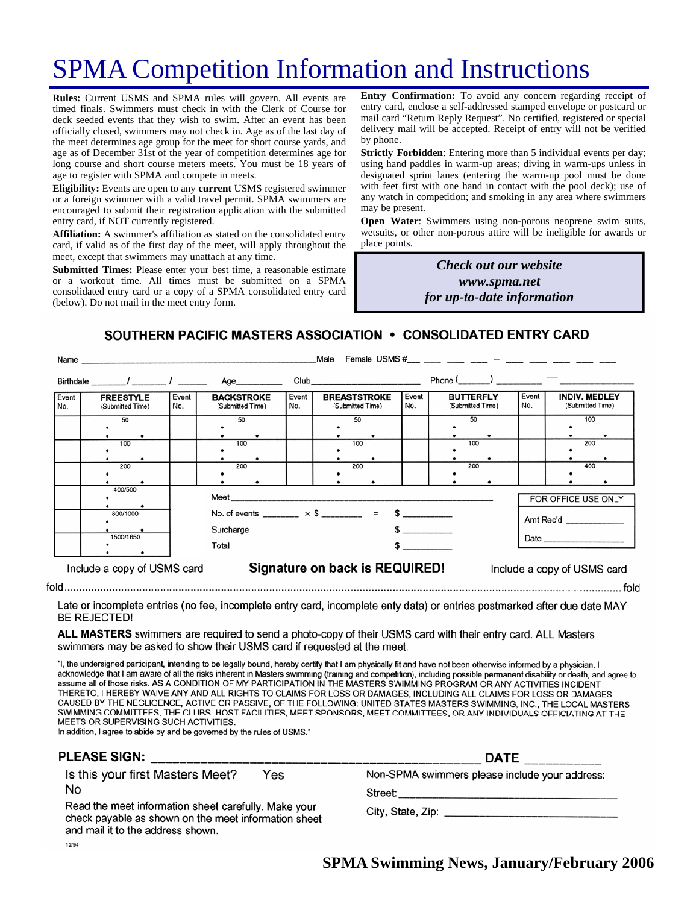# SPMA Competition Information and Instructions

**Rules:** Current USMS and SPMA rules will govern. All events are timed finals. Swimmers must check in with the Clerk of Course for deck seeded events that they wish to swim. After an event has been officially closed, swimmers may not check in. Age as of the last day of the meet determines age group for the meet for short course yards, and age as of December 31st of the year of competition determines age for long course and short course meters meets. You must be 18 years of age to register with SPMA and compete in meets.

**Eligibility:** Events are open to any **current** USMS registered swimmer or a foreign swimmer with a valid travel permit. SPMA swimmers are encouraged to submit their registration application with the submitted entry card, if NOT currently registered.

**Affiliation:** A swimmer's affiliation as stated on the consolidated entry card, if valid as of the first day of the meet, will apply throughout the meet, except that swimmers may unattach at any time.

**Submitted Times:** Please enter your best time, a reasonable estimate or a workout time. All times must be submitted on a SPMA consolidated entry card or a copy of a SPMA consolidated entry card (below). Do not mail in the meet entry form.

**Entry Confirmation:** To avoid any concern regarding receipt of entry card, enclose a self-addressed stamped envelope or postcard or mail card "Return Reply Request". No certified, registered or special delivery mail will be accepted. Receipt of entry will not be verified by phone.

**Strictly Forbidden**: Entering more than 5 individual events per day; using hand paddles in warm-up areas; diving in warm-ups unless in designated sprint lanes (entering the warm-up pool must be done with feet first with one hand in contact with the pool deck); use of any watch in competition; and smoking in any area where swimmers may be present.

**Open Water**: Swimmers using non-porous neoprene swim suits, wetsuits, or other non-porous attire will be ineligible for awards or place points.

> *Check out our website www.spma.net for up-to-date information*

SOUTHERN PACIFIC MASTERS ASSOCIATION • CONSOLIDATED ENTRY CARD

|              | Name                                 |                                                                         |                                       |              | Male                                                                                                                                                                                                                           |              | Female USMS $\#$ $-$                                  |                     |                                          |
|--------------|--------------------------------------|-------------------------------------------------------------------------|---------------------------------------|--------------|--------------------------------------------------------------------------------------------------------------------------------------------------------------------------------------------------------------------------------|--------------|-------------------------------------------------------|---------------------|------------------------------------------|
|              | Birthdate / /                        |                                                                         | Age__________                         |              | Club and the contract of the contract of the contract of the contract of the contract of the contract of the contract of the contract of the contract of the contract of the contract of the contract of the contract of the c |              | Phone $\qquad \qquad$ $\qquad \qquad$ $\qquad \qquad$ |                     |                                          |
| Event<br>No. | <b>FREESTYLE</b><br>(Submitted Time) | Event<br>No.                                                            | <b>BACKSTROKE</b><br>(Submitted Time) | Event<br>No. | <b>BREASTSTROKE</b><br>(Submitted Time)                                                                                                                                                                                        | Event<br>No. | <b>BUTTERFLY</b><br>(Submitted Time)                  | Event<br>No.        | <b>INDIV. MEDLEY</b><br>(Submitted Time) |
|              | 50                                   |                                                                         | 50                                    |              | 50                                                                                                                                                                                                                             |              | 50                                                    |                     | 100                                      |
|              | 100                                  |                                                                         | 100                                   |              | 100                                                                                                                                                                                                                            |              | 100                                                   |                     | 200                                      |
|              | 200                                  |                                                                         | 200                                   |              | 200                                                                                                                                                                                                                            |              | 200                                                   |                     | 400                                      |
|              | 400/500                              |                                                                         |                                       |              |                                                                                                                                                                                                                                |              |                                                       | FOR OFFICE USE ONLY |                                          |
|              | 800/1000                             | No. of events ________ $\times$ \$ ________ = \$ _________<br>Surcharge |                                       |              |                                                                                                                                                                                                                                |              | Amt Rec'd                                             |                     |                                          |
|              | 1500/1650                            |                                                                         | Total                                 |              |                                                                                                                                                                                                                                | $\mathbf{s}$ |                                                       |                     |                                          |
|              | Include a copy of USMS card          |                                                                         |                                       |              | Signature on back is REQUIRED!                                                                                                                                                                                                 |              |                                                       |                     | Include a copy of USMS card              |
|              |                                      |                                                                         |                                       |              |                                                                                                                                                                                                                                |              |                                                       |                     | fold                                     |

Late or incomplete entries (no fee, incomplete entry card, incomplete enty data) or entries postmarked after due date MAY **BE REJECTED!** 

ALL MASTERS swimmers are required to send a photo-copy of their USMS card with their entry card. ALL Masters swimmers may be asked to show their USMS card if requested at the meet.

"I, the undersigned participant, intending to be legally bound, hereby certify that I am physically fit and have not been otherwise informed by a physician. I acknowledge that I am aware of all the risks inherent in Masters swimming (training and competition), including possible permanent disability or death, and agree to assume all of those risks. AS A CONDITION OF MY PARTICIPATION IN THE MASTERS SWIMMING PROGRAM OR ANY ACTIVITIES INCIDENT THERETO, I HEREBY WAIVE ANY AND ALL RIGHTS TO CLAIMS FOR LOSS OR DAMAGES, INCLUDING ALL CLAIMS FOR LOSS OR DAMAGES CAUSED BY THE NEGLIGENCE, ACTIVE OR PASSIVE, OF THE FOLLOWING: UNITED STATES MASTERS SWIMMING, INC., THE LOCAL MASTERS SWIMMING COMMITTEES, THE CLUBS, HOST FACILITIES, MEET SPONSORS, MEET COMMITTEES, OR ANY INDIVIDUALS OFFICIATING AT THE MEETS OR SUPERVISING SUCH ACTIVITIES.

In addition, I agree to abide by and be governed by the rules of USMS."

| <b>PLEASE SIGN:</b>                                                                                                                               | <b>DATE</b>                                    |  |  |
|---------------------------------------------------------------------------------------------------------------------------------------------------|------------------------------------------------|--|--|
| Is this your first Masters Meet?<br>Yes                                                                                                           | Non-SPMA swimmers please include your address: |  |  |
| No                                                                                                                                                | Street:                                        |  |  |
| Read the meet information sheet carefully. Make your<br>check payable as shown on the meet information sheet<br>and mail it to the address shown. |                                                |  |  |
| 12/94                                                                                                                                             |                                                |  |  |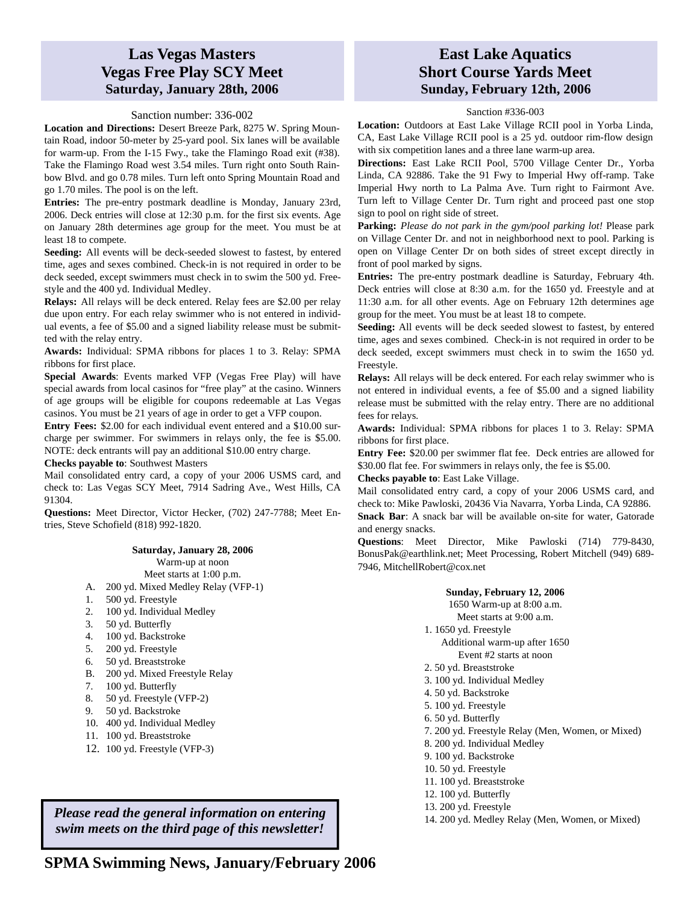### **Las Vegas Masters Vegas Free Play SCY Meet Saturday, January 28th, 2006**

#### Sanction number: 336-002

**Location and Directions:** Desert Breeze Park, 8275 W. Spring Mountain Road, indoor 50-meter by 25-yard pool. Six lanes will be available for warm-up. From the I-15 Fwy., take the Flamingo Road exit (#38). Take the Flamingo Road west 3.54 miles. Turn right onto South Rainbow Blvd. and go 0.78 miles. Turn left onto Spring Mountain Road and go 1.70 miles. The pool is on the left.

**Entries:** The pre-entry postmark deadline is Monday, January 23rd, 2006. Deck entries will close at 12:30 p.m. for the first six events. Age on January 28th determines age group for the meet. You must be at least 18 to compete.

**Seeding:** All events will be deck-seeded slowest to fastest, by entered time, ages and sexes combined. Check-in is not required in order to be deck seeded, except swimmers must check in to swim the 500 yd. Freestyle and the 400 yd. Individual Medley.

**Relays:** All relays will be deck entered. Relay fees are \$2.00 per relay due upon entry. For each relay swimmer who is not entered in individual events, a fee of \$5.00 and a signed liability release must be submitted with the relay entry.

**Awards:** Individual: SPMA ribbons for places 1 to 3. Relay: SPMA ribbons for first place.

**Special Awards**: Events marked VFP (Vegas Free Play) will have special awards from local casinos for "free play" at the casino. Winners of age groups will be eligible for coupons redeemable at Las Vegas casinos. You must be 21 years of age in order to get a VFP coupon.

**Entry Fees:** \$2.00 for each individual event entered and a \$10.00 surcharge per swimmer. For swimmers in relays only, the fee is \$5.00. NOTE: deck entrants will pay an additional \$10.00 entry charge.

**Checks payable to**: Southwest Masters

Mail consolidated entry card, a copy of your 2006 USMS card, and check to: Las Vegas SCY Meet, 7914 Sadring Ave., West Hills, CA 91304.

**Questions:** Meet Director, Victor Hecker, (702) 247-7788; Meet Entries, Steve Schofield (818) 992-1820.

#### **Saturday, January 28, 2006**

Warm-up at noon

Meet starts at 1:00 p.m.

- A. 200 yd. Mixed Medley Relay (VFP-1)
- 1. 500 yd. Freestyle
- 2. 100 yd. Individual Medley
- 3. 50 yd. Butterfly
- 4. 100 yd. Backstroke
- 5. 200 yd. Freestyle
- 6. 50 yd. Breaststroke
- B. 200 yd. Mixed Freestyle Relay
- 
- 7. 100 yd. Butterfly<br>8. 50 yd. Freestyle (
- 8. 50 yd. Freestyle (VFP-2)<br>9. 50 yd. Backstroke 9. 50 yd. Backstroke
- 10. 400 yd. Individual Medley
- 11. 100 yd. Breaststroke
- 12. 100 yd. Freestyle (VFP-3)

*Please read the general information on entering swim meets on the third page of this newsletter!* 

### **East Lake Aquatics Short Course Yards Meet Sunday, February 12th, 2006**

#### Sanction #336-003

**Location:** Outdoors at East Lake Village RCII pool in Yorba Linda, CA, East Lake Village RCII pool is a 25 yd. outdoor rim-flow design with six competition lanes and a three lane warm-up area.

**Directions:** East Lake RCII Pool, 5700 Village Center Dr., Yorba Linda, CA 92886. Take the 91 Fwy to Imperial Hwy off-ramp. Take Imperial Hwy north to La Palma Ave. Turn right to Fairmont Ave. Turn left to Village Center Dr. Turn right and proceed past one stop sign to pool on right side of street.

**Parking:** *Please do not park in the gym/pool parking lot!* Please park on Village Center Dr. and not in neighborhood next to pool. Parking is open on Village Center Dr on both sides of street except directly in front of pool marked by signs.

**Entries:** The pre-entry postmark deadline is Saturday, February 4th. Deck entries will close at 8:30 a.m. for the 1650 yd. Freestyle and at 11:30 a.m. for all other events. Age on February 12th determines age group for the meet. You must be at least 18 to compete.

**Seeding:** All events will be deck seeded slowest to fastest, by entered time, ages and sexes combined. Check-in is not required in order to be deck seeded, except swimmers must check in to swim the 1650 yd. Freestyle.

**Relays:** All relays will be deck entered. For each relay swimmer who is not entered in individual events, a fee of \$5.00 and a signed liability release must be submitted with the relay entry. There are no additional fees for relays.

**Awards:** Individual: SPMA ribbons for places 1 to 3. Relay: SPMA ribbons for first place.

**Entry Fee:** \$20.00 per swimmer flat fee. Deck entries are allowed for \$30.00 flat fee. For swimmers in relays only, the fee is \$5.00.

**Checks payable to**: East Lake Village.

Mail consolidated entry card, a copy of your 2006 USMS card, and check to: Mike Pawloski, 20436 Via Navarra, Yorba Linda, CA 92886. **Snack Bar**: A snack bar will be available on-site for water, Gatorade and energy snacks.

**Questions**: Meet Director, Mike Pawloski (714) 779-8430, BonusPak@earthlink.net; Meet Processing, Robert Mitchell (949) 689- 7946, MitchellRobert@cox.net

#### **Sunday, February 12, 2006**

1650 Warm-up at 8:00 a.m.

- Meet starts at 9:00 a.m.
- 1. 1650 yd. Freestyle
	- Additional warm-up after 1650 Event #2 starts at noon
	-
- 2. 50 yd. Breaststroke
- 3. 100 yd. Individual Medley
- 4. 50 yd. Backstroke
- 5. 100 yd. Freestyle
- 6. 50 yd. Butterfly
- 7. 200 yd. Freestyle Relay (Men, Women, or Mixed)
- 8. 200 yd. Individual Medley
- 9. 100 yd. Backstroke
- 10. 50 yd. Freestyle
- 11. 100 yd. Breaststroke
- 12. 100 yd. Butterfly
- 13. 200 yd. Freestyle
- 14. 200 yd. Medley Relay (Men, Women, or Mixed)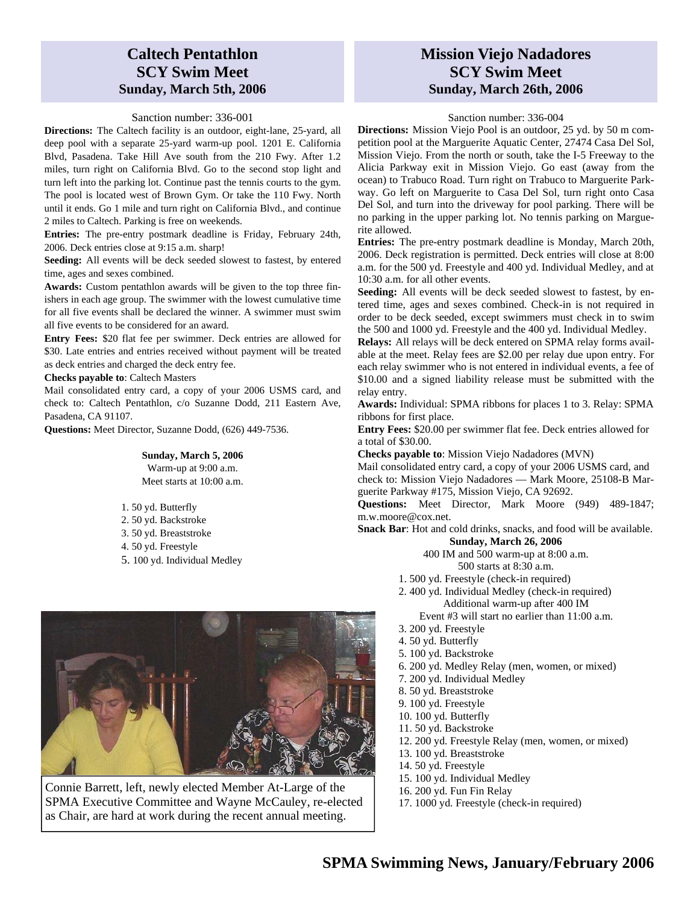## **Caltech Pentathlon SCY Swim Meet Sunday, March 5th, 2006**

#### Sanction number: 336-001

**Directions:** The Caltech facility is an outdoor, eight-lane, 25-yard, all deep pool with a separate 25-yard warm-up pool. 1201 E. California Blvd, Pasadena. Take Hill Ave south from the 210 Fwy. After 1.2 miles, turn right on California Blvd. Go to the second stop light and turn left into the parking lot. Continue past the tennis courts to the gym. The pool is located west of Brown Gym. Or take the 110 Fwy. North until it ends. Go 1 mile and turn right on California Blvd., and continue 2 miles to Caltech. Parking is free on weekends.

**Entries:** The pre-entry postmark deadline is Friday, February 24th, 2006. Deck entries close at 9:15 a.m. sharp!

**Seeding:** All events will be deck seeded slowest to fastest, by entered time, ages and sexes combined.

**Awards:** Custom pentathlon awards will be given to the top three finishers in each age group. The swimmer with the lowest cumulative time for all five events shall be declared the winner. A swimmer must swim all five events to be considered for an award.

**Entry Fees:** \$20 flat fee per swimmer. Deck entries are allowed for \$30. Late entries and entries received without payment will be treated as deck entries and charged the deck entry fee.

**Checks payable to**: Caltech Masters

Mail consolidated entry card, a copy of your 2006 USMS card, and check to: Caltech Pentathlon, c/o Suzanne Dodd, 211 Eastern Ave, Pasadena, CA 91107.

**Questions:** Meet Director, Suzanne Dodd, (626) 449-7536.

**Sunday, March 5, 2006**  Warm-up at 9:00 a.m. Meet starts at 10:00 a.m.

1. 50 yd. Butterfly 2. 50 yd. Backstroke 3. 50 yd. Breaststroke 4. 50 yd. Freestyle 5. 100 yd. Individual Medley



Connie Barrett, left, newly elected Member At-Large of the SPMA Executive Committee and Wayne McCauley, re-elected as Chair, are hard at work during the recent annual meeting.

### **Mission Viejo Nadadores SCY Swim Meet Sunday, March 26th, 2006**

#### Sanction number: 336-004

**Directions:** Mission Viejo Pool is an outdoor, 25 yd. by 50 m competition pool at the Marguerite Aquatic Center, 27474 Casa Del Sol, Mission Viejo. From the north or south, take the I-5 Freeway to the Alicia Parkway exit in Mission Viejo. Go east (away from the ocean) to Trabuco Road. Turn right on Trabuco to Marguerite Parkway. Go left on Marguerite to Casa Del Sol, turn right onto Casa Del Sol, and turn into the driveway for pool parking. There will be no parking in the upper parking lot. No tennis parking on Marguerite allowed.

**Entries:** The pre-entry postmark deadline is Monday, March 20th, 2006. Deck registration is permitted. Deck entries will close at 8:00 a.m. for the 500 yd. Freestyle and 400 yd. Individual Medley, and at 10:30 a.m. for all other events.

**Seeding:** All events will be deck seeded slowest to fastest, by entered time, ages and sexes combined. Check-in is not required in order to be deck seeded, except swimmers must check in to swim the 500 and 1000 yd. Freestyle and the 400 yd. Individual Medley.

**Relays:** All relays will be deck entered on SPMA relay forms available at the meet. Relay fees are \$2.00 per relay due upon entry. For each relay swimmer who is not entered in individual events, a fee of \$10.00 and a signed liability release must be submitted with the relay entry.

**Awards:** Individual: SPMA ribbons for places 1 to 3. Relay: SPMA ribbons for first place.

**Entry Fees:** \$20.00 per swimmer flat fee. Deck entries allowed for a total of \$30.00.

**Checks payable to**: Mission Viejo Nadadores (MVN)

Mail consolidated entry card, a copy of your 2006 USMS card, and check to: Mission Viejo Nadadores — Mark Moore, 25108-B Marguerite Parkway #175, Mission Viejo, CA 92692.

**Questions:** Meet Director, Mark Moore (949) 489-1847; m.w.moore@cox.net.

**Snack Bar**: Hot and cold drinks, snacks, and food will be available. **Sunday, March 26, 2006** 

400 IM and 500 warm-up at 8:00 a.m.

500 starts at 8:30 a.m.

- 1. 500 yd. Freestyle (check-in required)
- 2. 400 yd. Individual Medley (check-in required) Additional warm-up after 400 IM Event #3 will start no earlier than 11:00 a.m.
- 3. 200 yd. Freestyle
- 4. 50 yd. Butterfly
- 5. 100 yd. Backstroke
- 6. 200 yd. Medley Relay (men, women, or mixed)
- 7. 200 yd. Individual Medley
- 8. 50 yd. Breaststroke
- 9. 100 yd. Freestyle
- 10. 100 yd. Butterfly
- 11. 50 yd. Backstroke
- 12. 200 yd. Freestyle Relay (men, women, or mixed)
- 13. 100 yd. Breaststroke
- 14. 50 yd. Freestyle
- 15. 100 yd. Individual Medley
- 16. 200 yd. Fun Fin Relay
- 17. 1000 yd. Freestyle (check-in required)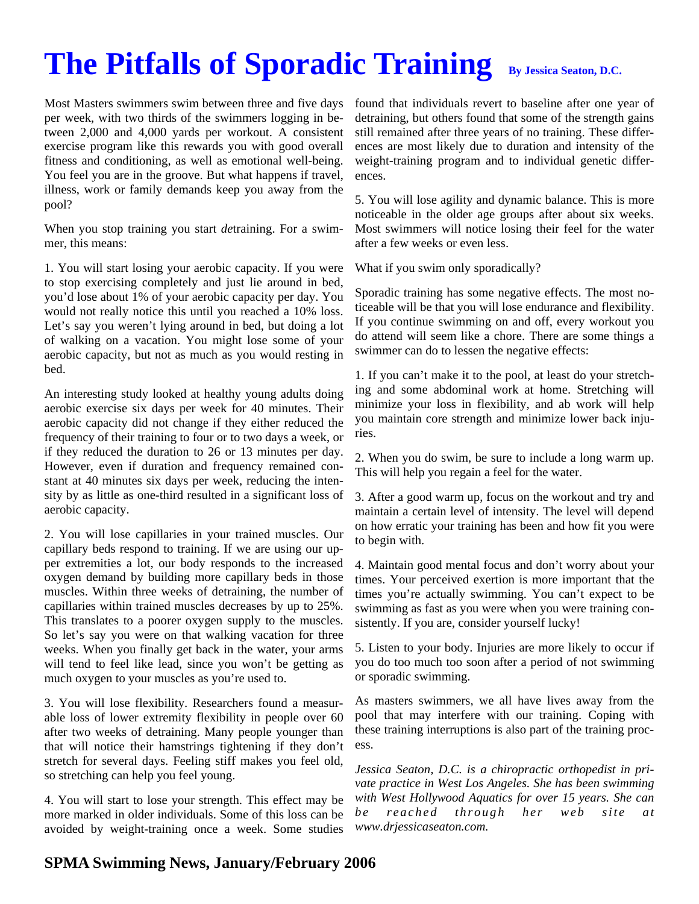# **The Pitfalls of Sporadic Training** By Jessica Seaton, D.C.

Most Masters swimmers swim between three and five days per week, with two thirds of the swimmers logging in between 2,000 and 4,000 yards per workout. A consistent exercise program like this rewards you with good overall fitness and conditioning, as well as emotional well-being. You feel you are in the groove. But what happens if travel, illness, work or family demands keep you away from the pool?

When you stop training you start *de*training. For a swimmer, this means:

1. You will start losing your aerobic capacity. If you were to stop exercising completely and just lie around in bed, you'd lose about 1% of your aerobic capacity per day. You would not really notice this until you reached a 10% loss. Let's say you weren't lying around in bed, but doing a lot of walking on a vacation. You might lose some of your aerobic capacity, but not as much as you would resting in bed.

An interesting study looked at healthy young adults doing aerobic exercise six days per week for 40 minutes. Their aerobic capacity did not change if they either reduced the frequency of their training to four or to two days a week, or if they reduced the duration to 26 or 13 minutes per day. However, even if duration and frequency remained constant at 40 minutes six days per week, reducing the intensity by as little as one-third resulted in a significant loss of aerobic capacity.

2. You will lose capillaries in your trained muscles. Our capillary beds respond to training. If we are using our upper extremities a lot, our body responds to the increased oxygen demand by building more capillary beds in those muscles. Within three weeks of detraining, the number of capillaries within trained muscles decreases by up to 25%. This translates to a poorer oxygen supply to the muscles. So let's say you were on that walking vacation for three weeks. When you finally get back in the water, your arms will tend to feel like lead, since you won't be getting as much oxygen to your muscles as you're used to.

3. You will lose flexibility. Researchers found a measurable loss of lower extremity flexibility in people over 60 after two weeks of detraining. Many people younger than that will notice their hamstrings tightening if they don't stretch for several days. Feeling stiff makes you feel old, so stretching can help you feel young.

4. You will start to lose your strength. This effect may be more marked in older individuals. Some of this loss can be avoided by weight-training once a week. Some studies

found that individuals revert to baseline after one year of detraining, but others found that some of the strength gains still remained after three years of no training. These differences are most likely due to duration and intensity of the weight-training program and to individual genetic differences.

5. You will lose agility and dynamic balance. This is more noticeable in the older age groups after about six weeks. Most swimmers will notice losing their feel for the water after a few weeks or even less.

What if you swim only sporadically?

Sporadic training has some negative effects. The most noticeable will be that you will lose endurance and flexibility. If you continue swimming on and off, every workout you do attend will seem like a chore. There are some things a swimmer can do to lessen the negative effects:

1. If you can't make it to the pool, at least do your stretching and some abdominal work at home. Stretching will minimize your loss in flexibility, and ab work will help you maintain core strength and minimize lower back injuries.

2. When you do swim, be sure to include a long warm up. This will help you regain a feel for the water.

3. After a good warm up, focus on the workout and try and maintain a certain level of intensity. The level will depend on how erratic your training has been and how fit you were to begin with.

4. Maintain good mental focus and don't worry about your times. Your perceived exertion is more important that the times you're actually swimming. You can't expect to be swimming as fast as you were when you were training consistently. If you are, consider yourself lucky!

5. Listen to your body. Injuries are more likely to occur if you do too much too soon after a period of not swimming or sporadic swimming.

As masters swimmers, we all have lives away from the pool that may interfere with our training. Coping with these training interruptions is also part of the training process.

*Jessica Seaton, D.C. is a chiropractic orthopedist in private practice in West Los Angeles. She has been swimming with West Hollywood Aquatics for over 15 years. She can be* reached through her web site at *www.drjessicaseaton.com.*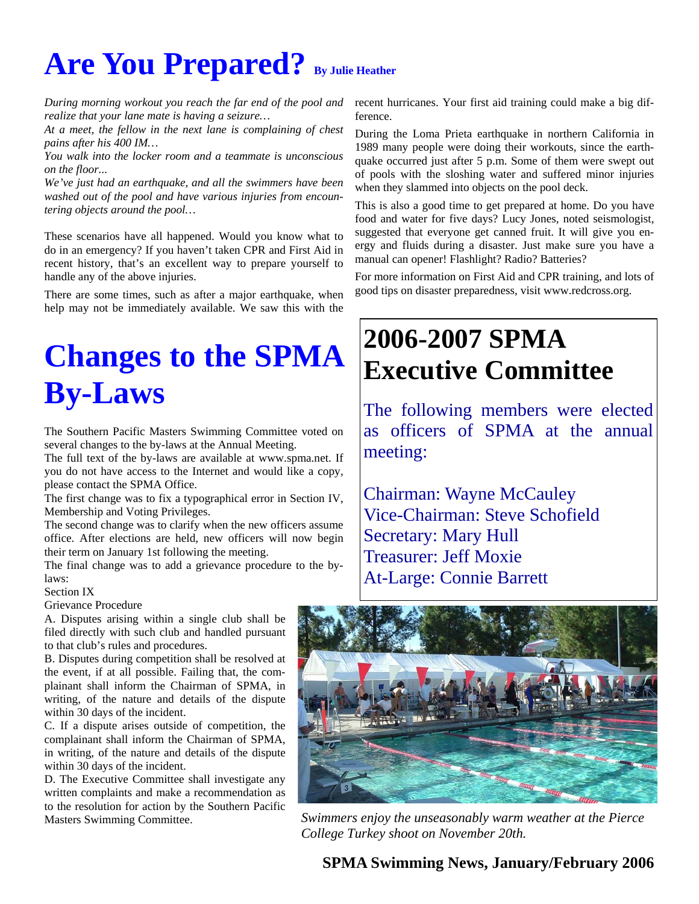# Are You Prepared? By Julie Heather

*During morning workout you reach the far end of the pool and realize that your lane mate is having a seizure…* 

*At a meet, the fellow in the next lane is complaining of chest pains after his 400 IM…* 

*You walk into the locker room and a teammate is unconscious on the floor...* 

*We've just had an earthquake, and all the swimmers have been washed out of the pool and have various injuries from encountering objects around the pool…* 

These scenarios have all happened. Would you know what to do in an emergency? If you haven't taken CPR and First Aid in recent history, that's an excellent way to prepare yourself to handle any of the above injuries.

There are some times, such as after a major earthquake, when help may not be immediately available. We saw this with the

# **Changes to the SPMA By-Laws**

The Southern Pacific Masters Swimming Committee voted on several changes to the by-laws at the Annual Meeting.

The full text of the by-laws are available at www.spma.net. If you do not have access to the Internet and would like a copy, please contact the SPMA Office.

The first change was to fix a typographical error in Section IV, Membership and Voting Privileges.

The second change was to clarify when the new officers assume office. After elections are held, new officers will now begin their term on January 1st following the meeting.

The final change was to add a grievance procedure to the bylaws:

#### Section IX

#### Grievance Procedure

A. Disputes arising within a single club shall be filed directly with such club and handled pursuant to that club's rules and procedures.

B. Disputes during competition shall be resolved at the event, if at all possible. Failing that, the complainant shall inform the Chairman of SPMA, in writing, of the nature and details of the dispute within 30 days of the incident.

C. If a dispute arises outside of competition, the complainant shall inform the Chairman of SPMA, in writing, of the nature and details of the dispute within 30 days of the incident.

D. The Executive Committee shall investigate any written complaints and make a recommendation as to the resolution for action by the Southern Pacific Masters Swimming Committee.

recent hurricanes. Your first aid training could make a big difference.

During the Loma Prieta earthquake in northern California in 1989 many people were doing their workouts, since the earthquake occurred just after 5 p.m. Some of them were swept out of pools with the sloshing water and suffered minor injuries when they slammed into objects on the pool deck.

This is also a good time to get prepared at home. Do you have food and water for five days? Lucy Jones, noted seismologist, suggested that everyone get canned fruit. It will give you energy and fluids during a disaster. Just make sure you have a manual can opener! Flashlight? Radio? Batteries?

For more information on First Aid and CPR training, and lots of good tips on disaster preparedness, visit www.redcross.org.

# **2006-2007 SPMA Executive Committee**

The following members were elected as officers of SPMA at the annual meeting:

Chairman: Wayne McCauley Vice-Chairman: Steve Schofield Secretary: Mary Hull Treasurer: Jeff Moxie At-Large: Connie Barrett



*Swimmers enjoy the unseasonably warm weather at the Pierce College Turkey shoot on November 20th.*